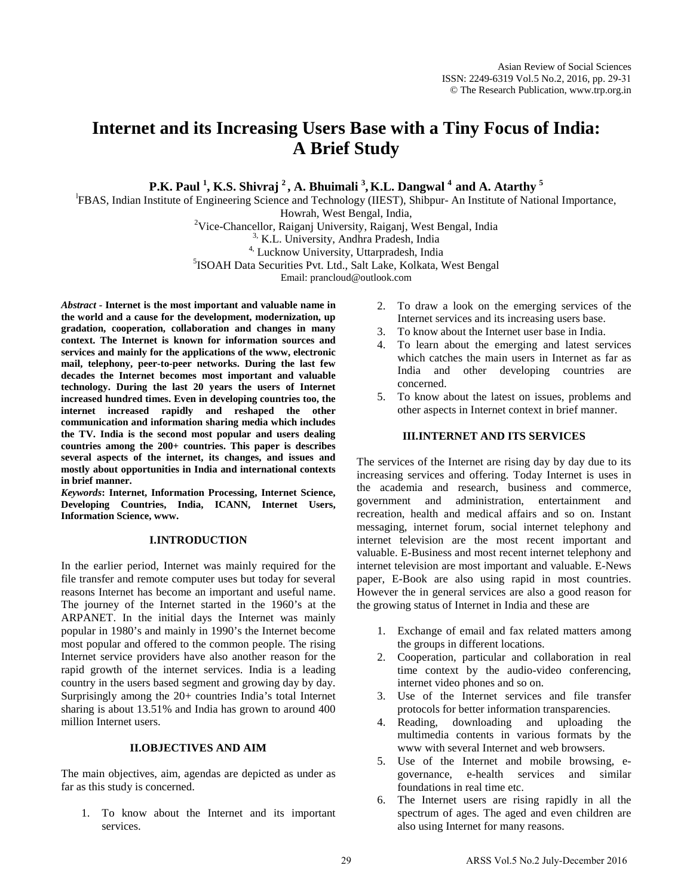# **Internet and its Increasing Users Base with a Tiny Focus of India: A Brief Study**

**P.K. Paul <sup>1</sup>, K.S. Shivraj <sup>2</sup> , A. Bhuimali <sup>3</sup>, K.L. Dangwal <sup>4</sup> and A. Atarthy <sup>5</sup>** 

l FBAS, Indian Institute of Engineering Science and Technology (IIEST), Shibpur- An Institute of National Importance,

Howrah, West Bengal, India, 2 Vice-Chancellor, Raiganj University, Raiganj, West Bengal, India

3, K.L. University, Andhra Pradesh, India

<sup>4,</sup> Lucknow University, Uttarpradesh, India

<sup>5</sup>ISOAH Data Securities Pvt. Ltd., Salt Lake, Kolkata, West Bengal

Email: prancloud@outlook.com

*Abstract -* **Internet is the most important and valuable name in the world and a cause for the development, modernization, up gradation, cooperation, collaboration and changes in many context. The Internet is known for information sources and services and mainly for the applications of the www, electronic mail, telephony, peer-to-peer networks. During the last few decades the Internet becomes most important and valuable technology. During the last 20 years the users of Internet increased hundred times. Even in developing countries too, the internet increased rapidly and reshaped the other communication and information sharing media which includes the TV. India is the second most popular and users dealing countries among the 200+ countries. This paper is describes several aspects of the internet, its changes, and issues and mostly about opportunities in India and international contexts in brief manner.**

*Keywords***: Internet, Information Processing, Internet Science, Developing Countries, India, ICANN, Internet Users, Information Science, www.**

## **I.INTRODUCTION**

In the earlier period, Internet was mainly required for the file transfer and remote computer uses but today for several reasons Internet has become an important and useful name. The journey of the Internet started in the 1960's at the ARPANET. In the initial days the Internet was mainly popular in 1980's and mainly in 1990's the Internet become most popular and offered to the common people. The rising Internet service providers have also another reason for the rapid growth of the internet services. India is a leading country in the users based segment and growing day by day. Surprisingly among the 20+ countries India's total Internet sharing is about 13.51% and India has grown to around 400 million Internet users.

## **II.OBJECTIVES AND AIM**

The main objectives, aim, agendas are depicted as under as far as this study is concerned.

1. To know about the Internet and its important services.

- 2. To draw a look on the emerging services of the Internet services and its increasing users base.
- 3. To know about the Internet user base in India.
- 4. To learn about the emerging and latest services which catches the main users in Internet as far as India and other developing countries are concerned.
- 5. To know about the latest on issues, problems and other aspects in Internet context in brief manner.

## **III.INTERNET AND ITS SERVICES**

The services of the Internet are rising day by day due to its increasing services and offering. Today Internet is uses in the academia and research, business and commerce, government and administration, entertainment and recreation, health and medical affairs and so on. Instant messaging, internet forum, social internet telephony and internet television are the most recent important and valuable. E-Business and most recent internet telephony and internet television are most important and valuable. E-News paper, E-Book are also using rapid in most countries. However the in general services are also a good reason for the growing status of Internet in India and these are

- 1. Exchange of email and fax related matters among the groups in different locations.
- 2. Cooperation, particular and collaboration in real time context by the audio-video conferencing, internet video phones and so on.
- 3. Use of the Internet services and file transfer protocols for better information transparencies.<br>4. Reading, downloading and uploading
- downloading and uploading the multimedia contents in various formats by the www with several Internet and web browsers.
- 5. Use of the Internet and mobile browsing, egovernance, e-health services and similar foundations in real time etc.
- 6. The Internet users are rising rapidly in all the spectrum of ages. The aged and even children are also using Internet for many reasons.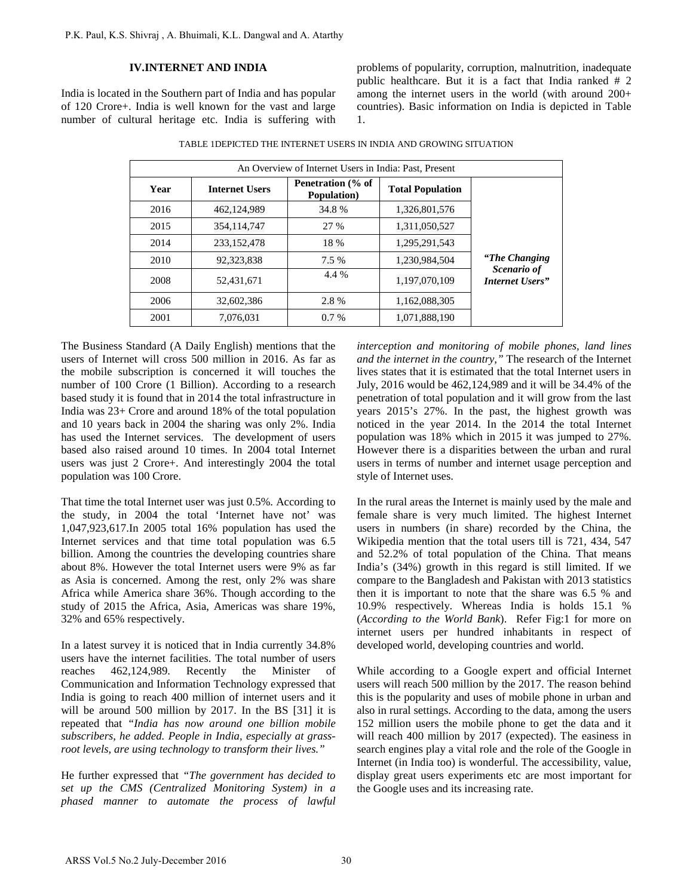## **IV.INTERNET AND INDIA**

India is located in the Southern part of India and has popular of 120 Crore+. India is well known for the vast and large number of cultural heritage etc. India is suffering with problems of popularity, corruption, malnutrition, inadequate public healthcare. But it is a fact that India ranked # 2 among the internet users in the world (with around 200+ countries). Basic information on India is depicted in Table 1.

| An Overview of Internet Users in India: Past, Present |                       |                                  |                         |                                        |
|-------------------------------------------------------|-----------------------|----------------------------------|-------------------------|----------------------------------------|
| Year                                                  | <b>Internet Users</b> | Penetration (% of<br>Population) | <b>Total Population</b> |                                        |
| 2016                                                  | 462,124,989           | 34.8%                            | 1,326,801,576           |                                        |
| 2015                                                  | 354,114,747           | 27 %                             | 1,311,050,527           |                                        |
| 2014                                                  | 233, 152, 478         | 18 %                             | 1,295,291,543           |                                        |
| 2010                                                  | 92,323,838            | 7.5 %                            | 1,230,984,504           | "The Changing"                         |
| 2008                                                  | 52.431.671            | 4.4 %                            | 1,197,070,109           | Scenario of<br><b>Internet Users</b> " |
| 2006                                                  | 32,602,386            | 2.8%                             | 1,162,088,305           |                                        |
| 2001                                                  | 7,076,031             | 0.7%                             | 1,071,888,190           |                                        |

TABLE 1DEPICTED THE INTERNET USERS IN INDIA AND GROWING SITUATION

The Business Standard (A Daily English) mentions that the users of Internet will cross 500 million in 2016. As far as the mobile subscription is concerned it will touches the number of 100 Crore (1 Billion). According to a research based study it is found that in 2014 the total infrastructure in India was 23+ Crore and around 18% of the total population and 10 years back in 2004 the sharing was only 2%. India has used the Internet services. The development of users based also raised around 10 times. In 2004 total Internet users was just 2 Crore+. And interestingly 2004 the total population was 100 Crore. P.K. Paul, K.S. Shivraj , A. Bhuimali, K.L. Dangwal and A. Atarthy<br> **IV.INTERNET AND INDIA**<br> **Collisticated in the Southern part of Italia and has popular**<br> **f** 120 Croces- Iralia well known for the vast and large<br>
sumber

That time the total Internet user was just 0.5%. According to the study, in 2004 the total 'Internet have not' was 1,047,923,617.In 2005 total 16% population has used the Internet services and that time total population was 6.5 billion. Among the countries the developing countries share about 8%. However the total Internet users were 9% as far as Asia is concerned. Among the rest, only 2% was share Africa while America share 36%. Though according to the study of 2015 the Africa, Asia, Americas was share 19%, 32% and 65% respectively.

In a latest survey it is noticed that in India currently 34.8% users have the internet facilities. The total number of users reaches 462,124,989. Recently the Minister of Communication and Information Technology expressed that India is going to reach 400 million of internet users and it will be around 500 million by 2017. In the BS [31] it is repeated that *"India has now around one billion mobile subscribers, he added. People in India, especially at grassroot levels, are using technology to transform their lives."*

He further expressed that *"The government has decided to set up the CMS (Centralized Monitoring System) in a phased manner to automate the process of lawful*  *interception and monitoring of mobile phones, land lines and the internet in the country,"* The research of the Internet lives states that it is estimated that the total Internet users in July, 2016 would be 462,124,989 and it will be 34.4% of the penetration of total population and it will grow from the last years 2015's 27%. In the past, the highest growth was noticed in the year 2014. In the 2014 the total Internet population was 18% which in 2015 it was jumped to 27%. However there is a disparities between the urban and rural users in terms of number and internet usage perception and style of Internet uses.

In the rural areas the Internet is mainly used by the male and female share is very much limited. The highest Internet users in numbers (in share) recorded by the China, the Wikipedia mention that the total users till is 721, 434, 547 and 52.2% of total population of the China. That means India's (34%) growth in this regard is still limited. If we compare to the Bangladesh and Pakistan with 2013 statistics then it is important to note that the share was 6.5 % and 10.9% respectively. Whereas India is holds 15.1 % (*According to the World Bank*). Refer Fig:1 for more on internet users per hundred inhabitants in respect of developed world, developing countries and world.

While according to a Google expert and official Internet users will reach 500 million by the 2017. The reason behind this is the popularity and uses of mobile phone in urban and also in rural settings. According to the data, among the users 152 million users the mobile phone to get the data and it will reach 400 million by 2017 (expected). The easiness in search engines play a vital role and the role of the Google in Internet (in India too) is wonderful. The accessibility, value, display great users experiments etc are most important for the Google uses and its increasing rate.